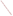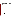# **Consumer Factsheet on: DINOSEB**

#### [List of Contaminants](http://www.epa.gov/safewater/hfacts.html)

 As part of the Drinking Water and Health pages, this fact sheet is part of a larger publication: **National Primary Drinking Water Regulations** 

 States Environmental Protection Agency (EPA). This is a factsheet about a chemical that may be found in some public or private drinking water supplies. It may cause health problems if found in amounts greater than the health standard set by the United

### **What is Dinoseb and how is it used?**

 Dinoseb is also used as a corn yield enhancer and an insecticide and miticide. Dinoseb is an organic solid - yellowish crystals with a pungent odor. Its greatest use is as a contact herbicide for post-emergence weed control in cereals, undersown cereals, seedling lucerne and peas.

 The list of trade names given below may help you find out whether you are using this chemical at home or work.

#### **Trade Names and Synonyms:**

Aatox Chemox **Gebutox** Knox-weed Basanite BNP 20 Butaphene **Dibutox Dinitrall** Dinitro Desicoil Dow Selective Weed Killer **Hivertox** Ladob Laseb Nitropone C Dytop Premerge Hel-fire Caldon Kiloseb Sinox General **Subitex** Dinitrobutyl-phenol

# **Why is Dinoseb being Regulated?**

 based solely on possible health risks and exposure, are called Maximum Contaminant Level Goals. In 1974, Congress passed the Safe Drinking Water Act. This law requires EPA to determine safe levels of chemicals in drinking water which do or may cause health problems. These non-enforceable levels,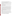The MCLG for dinoseb has been set at 7 parts per billion (ppb) because EPA believes this level of protection would not cause any of the potential health problems described below.

 Based on this MCLG, EPA has set an enforceable standard called a Maximum Contaminant Level (MCL). MCLs are set as close to the MCLGs as possible, considering the ability of public water systems to detect and remove contaminants using suitable treatment technologies.

 The MCL has been set at 7 ppb because EPA believes, given present technology and resources, this is occur in drinking water. the lowest level to which water systems can reasonably be required to remove this contaminant should it

These drinking water standards and the regulations for ensuring these standards are met, are called National Primary Drinking Water Regulations. All public water supplies must abide by these regulations.

# **What are the Health Effects?**

Short-term: EPA has found dinoseb to potentially cause the following health effects when people are exposed to it at levels above the MCL for relatively short periods of time: sweating, headache, mood changes.

 above the MCL: decreased body and thyroid weight, degeneration of testes; thickening of intestinal lining. Long-term: Dinoseb has the potential to cause the following effects from a lifetime exposure at levels

#### **How much Dinoseb is produced and released to the environment?**

 vegetables. Release of dinoseb has resulted primarily from its use as an herbicide on a variety of weeds. 1982 production of dinoseb was reported as 6.2 million pounds, used primarily on soybeans and

#### **What happens to Dinoseb when it is released to the environment?**

 sunlight. It is not likely to accumulate in aquatic life. Dinoseb is degraded slowly by soil bacteria and binds weakly to soil. Therefore, leaching in soil is possible and dinoseb has been detected in groundwater. In water, dinoseb is mainly broken down by

#### **How will Dinoseb be Detected in and Removed from My Drinking Water?**

 The regulation for dinoseb became effective in 1994. Between 1993 and 1995, EPA required your water supplier to collect water samples every 3 months for one year and analyze them to find out if dinoseb is contaminant. present above 0.2 ppb. If it is present above this level, the system must continue to monitor this

If contaminant levels are found to be consistently above the MCL, your water supplier must take steps to reduce the amount of dinoseb so that it is consistently below that level. The following treatment methods have been approved by EPA for removing dinoseb: Granular activated charcoal.

# **How will I know if Dinoseb is in my drinking water?**